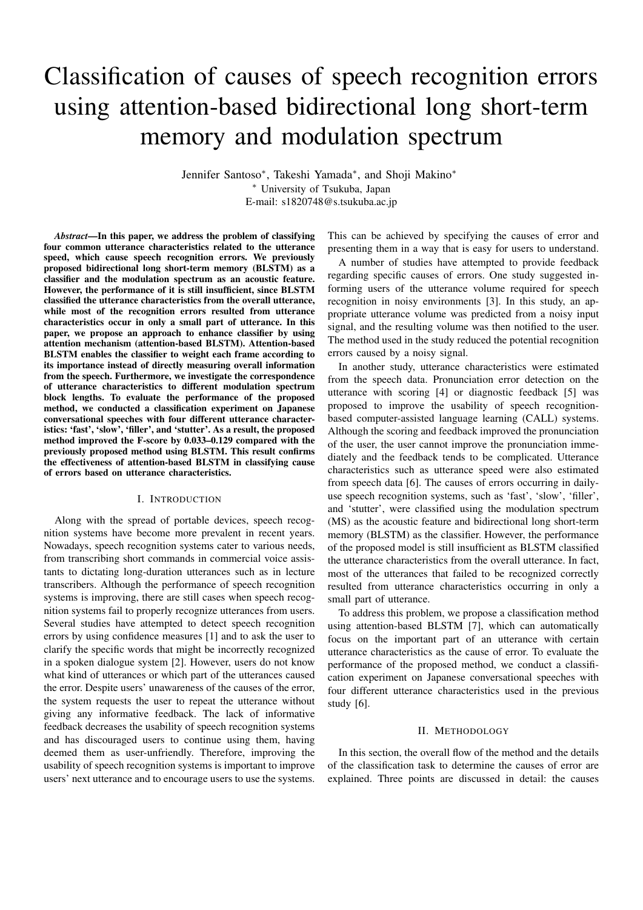# Classification of causes of speech recognition errors using attention-based bidirectional long short-term memory and modulation spectrum

Jennifer Santoso\*, Takeshi Yamada\*, and Shoji Makino\* <sup>∗</sup> University of Tsukuba, Japan E-mail: s1820748@s.tsukuba.ac.jp

*Abstract*—In this paper, we address the problem of classifying four common utterance characteristics related to the utterance speed, which cause speech recognition errors. We previously proposed bidirectional long short-term memory (BLSTM) as a classifier and the modulation spectrum as an acoustic feature. However, the performance of it is still insufficient, since BLSTM classified the utterance characteristics from the overall utterance, while most of the recognition errors resulted from utterance characteristics occur in only a small part of utterance. In this paper, we propose an approach to enhance classifier by using attention mechanism (attention-based BLSTM). Attention-based BLSTM enables the classifier to weight each frame according to its importance instead of directly measuring overall information from the speech. Furthermore, we investigate the correspondence of utterance characteristics to different modulation spectrum block lengths. To evaluate the performance of the proposed method, we conducted a classification experiment on Japanese conversational speeches with four different utterance characteristics: 'fast', 'slow', 'filler', and 'stutter'. As a result, the proposed method improved the F-score by 0.033–0.129 compared with the previously proposed method using BLSTM. This result confirms the effectiveness of attention-based BLSTM in classifying cause of errors based on utterance characteristics.

## I. INTRODUCTION

Along with the spread of portable devices, speech recognition systems have become more prevalent in recent years. Nowadays, speech recognition systems cater to various needs, from transcribing short commands in commercial voice assistants to dictating long-duration utterances such as in lecture transcribers. Although the performance of speech recognition systems is improving, there are still cases when speech recognition systems fail to properly recognize utterances from users. Several studies have attempted to detect speech recognition errors by using confidence measures [1] and to ask the user to clarify the specific words that might be incorrectly recognized in a spoken dialogue system [2]. However, users do not know what kind of utterances or which part of the utterances caused the error. Despite users' unawareness of the causes of the error, the system requests the user to repeat the utterance without giving any informative feedback. The lack of informative feedback decreases the usability of speech recognition systems and has discouraged users to continue using them, having deemed them as user-unfriendly. Therefore, improving the usability of speech recognition systems is important to improve users' next utterance and to encourage users to use the systems.

This can be achieved by specifying the causes of error and presenting them in a way that is easy for users to understand.

A number of studies have attempted to provide feedback regarding specific causes of errors. One study suggested informing users of the utterance volume required for speech recognition in noisy environments [3]. In this study, an appropriate utterance volume was predicted from a noisy input signal, and the resulting volume was then notified to the user. The method used in the study reduced the potential recognition errors caused by a noisy signal.

In another study, utterance characteristics were estimated from the speech data. Pronunciation error detection on the utterance with scoring [4] or diagnostic feedback [5] was proposed to improve the usability of speech recognitionbased computer-assisted language learning (CALL) systems. Although the scoring and feedback improved the pronunciation of the user, the user cannot improve the pronunciation immediately and the feedback tends to be complicated. Utterance characteristics such as utterance speed were also estimated from speech data [6]. The causes of errors occurring in dailyuse speech recognition systems, such as 'fast', 'slow', 'filler', and 'stutter', were classified using the modulation spectrum (MS) as the acoustic feature and bidirectional long short-term memory (BLSTM) as the classifier. However, the performance of the proposed model is still insufficient as BLSTM classified the utterance characteristics from the overall utterance. In fact, most of the utterances that failed to be recognized correctly resulted from utterance characteristics occurring in only a small part of utterance.

To address this problem, we propose a classification method using attention-based BLSTM [7], which can automatically focus on the important part of an utterance with certain utterance characteristics as the cause of error. To evaluate the performance of the proposed method, we conduct a classification experiment on Japanese conversational speeches with four different utterance characteristics used in the previous study [6].

#### II. METHODOLOGY

In this section, the overall flow of the method and the details of the classification task to determine the causes of error are explained. Three points are discussed in detail: the causes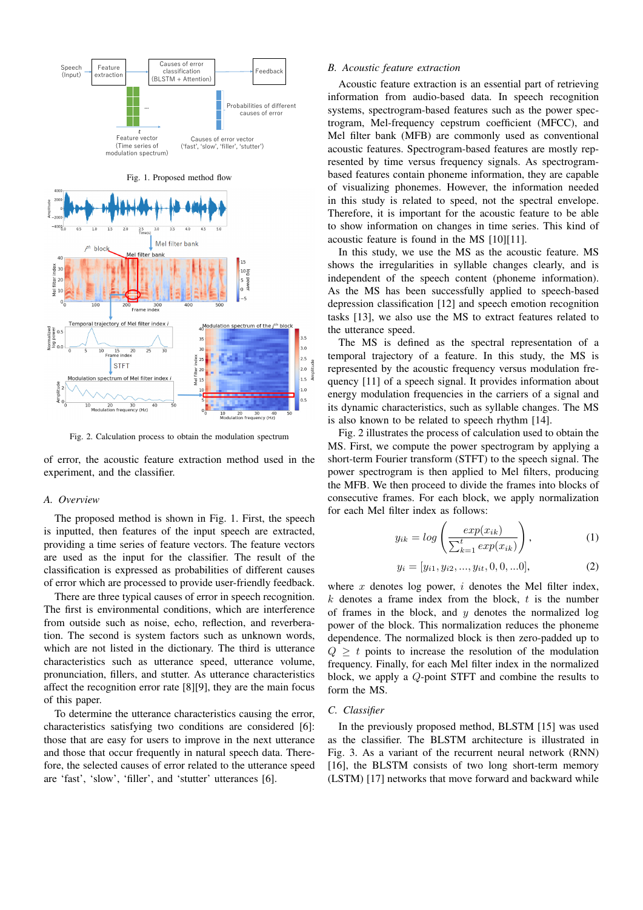

Fig. 2. Calculation process to obtain the modulation spectrum

of error, the acoustic feature extraction method used in the experiment, and the classifier.

#### *A. Overview*

The proposed method is shown in Fig. 1. First, the speech is inputted, then features of the input speech are extracted, providing a time series of feature vectors. The feature vectors are used as the input for the classifier. The result of the classification is expressed as probabilities of different causes of error which are processed to provide user-friendly feedback.

There are three typical causes of error in speech recognition. The first is environmental conditions, which are interference from outside such as noise, echo, reflection, and reverberation. The second is system factors such as unknown words, which are not listed in the dictionary. The third is utterance characteristics such as utterance speed, utterance volume, pronunciation, fillers, and stutter. As utterance characteristics affect the recognition error rate [8][9], they are the main focus of this paper.

To determine the utterance characteristics causing the error, characteristics satisfying two conditions are considered [6]: those that are easy for users to improve in the next utterance and those that occur frequently in natural speech data. Therefore, the selected causes of error related to the utterance speed are 'fast', 'slow', 'filler', and 'stutter' utterances [6].

## *B. Acoustic feature extraction*

Acoustic feature extraction is an essential part of retrieving information from audio-based data. In speech recognition systems, spectrogram-based features such as the power spectrogram, Mel-frequency cepstrum coefficient (MFCC), and Mel filter bank (MFB) are commonly used as conventional acoustic features. Spectrogram-based features are mostly represented by time versus frequency signals. As spectrogrambased features contain phoneme information, they are capable of visualizing phonemes. However, the information needed in this study is related to speed, not the spectral envelope. Therefore, it is important for the acoustic feature to be able to show information on changes in time series. This kind of acoustic feature is found in the MS [10][11].

In this study, we use the MS as the acoustic feature. MS shows the irregularities in syllable changes clearly, and is independent of the speech content (phoneme information). As the MS has been successfully applied to speech-based depression classification [12] and speech emotion recognition tasks [13], we also use the MS to extract features related to the utterance speed.

The MS is defined as the spectral representation of a temporal trajectory of a feature. In this study, the MS is represented by the acoustic frequency versus modulation frequency [11] of a speech signal. It provides information about energy modulation frequencies in the carriers of a signal and its dynamic characteristics, such as syllable changes. The MS is also known to be related to speech rhythm [14].

Fig. 2 illustrates the process of calculation used to obtain the MS. First, we compute the power spectrogram by applying a short-term Fourier transform (STFT) to the speech signal. The power spectrogram is then applied to Mel filters, producing the MFB. We then proceed to divide the frames into blocks of consecutive frames. For each block, we apply normalization for each Mel filter index as follows:

$$
y_{ik} = \log\left(\frac{\exp(x_{ik})}{\sum_{k=1}^{t} \exp(x_{ik})}\right),\tag{1}
$$

$$
y_i = [y_{i1}, y_{i2}, ..., y_{it}, 0, 0, ...0],
$$
\n(2)

where  $x$  denotes log power,  $i$  denotes the Mel filter index,  $k$  denotes a frame index from the block,  $t$  is the number of frames in the block, and  $y$  denotes the normalized log power of the block. This normalization reduces the phoneme dependence. The normalized block is then zero-padded up to  $Q \geq t$  points to increase the resolution of the modulation frequency. Finally, for each Mel filter index in the normalized block, we apply a Q-point STFT and combine the results to form the MS.

## *C. Classifier*

In the previously proposed method, BLSTM [15] was used as the classifier. The BLSTM architecture is illustrated in Fig. 3. As a variant of the recurrent neural network (RNN) [16], the BLSTM consists of two long short-term memory (LSTM) [17] networks that move forward and backward while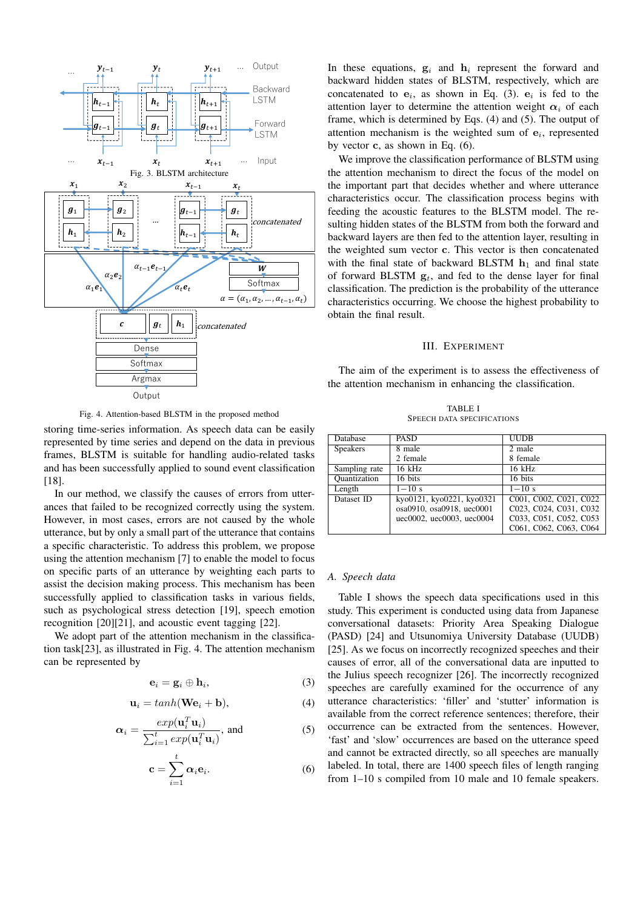

Fig. 4. Attention-based BLSTM in the proposed method

storing time-series information. As speech data can be easily represented by time series and depend on the data in previous frames, BLSTM is suitable for handling audio-related tasks and has been successfully applied to sound event classification [18].

In our method, we classify the causes of errors from utterances that failed to be recognized correctly using the system. However, in most cases, errors are not caused by the whole utterance, but by only a small part of the utterance that contains a specific characteristic. To address this problem, we propose using the attention mechanism [7] to enable the model to focus on specific parts of an utterance by weighting each parts to assist the decision making process. This mechanism has been successfully applied to classification tasks in various fields, such as psychological stress detection [19], speech emotion recognition [20][21], and acoustic event tagging [22].

We adopt part of the attention mechanism in the classification task[23], as illustrated in Fig. 4. The attention mechanism can be represented by

$$
\mathbf{e}_i = \mathbf{g}_i \oplus \mathbf{h}_i, \tag{3}
$$

$$
\mathbf{u}_i = \tanh(\mathbf{W}\mathbf{e}_i + \mathbf{b}),\tag{4}
$$

$$
\alpha_i = \frac{exp(\mathbf{u}_i^T \mathbf{u}_i)}{\sum_{i=1}^t exp(\mathbf{u}_i^T \mathbf{u}_i)}, \text{ and } (5)
$$

$$
\mathbf{c} = \sum_{i=1}^{t} \alpha_i \mathbf{e}_i.
$$
 (6)

In these equations,  $g_i$  and  $h_i$  represent the forward and backward hidden states of BLSTM, respectively, which are concatenated to  $e_i$ , as shown in Eq. (3).  $e_i$  is fed to the attention layer to determine the attention weight  $\alpha_i$  of each frame, which is determined by Eqs. (4) and (5). The output of attention mechanism is the weighted sum of  $e_i$ , represented by vector c, as shown in Eq. (6).

We improve the classification performance of BLSTM using the attention mechanism to direct the focus of the model on the important part that decides whether and where utterance characteristics occur. The classification process begins with feeding the acoustic features to the BLSTM model. The resulting hidden states of the BLSTM from both the forward and backward layers are then fed to the attention layer, resulting in the weighted sum vector c. This vector is then concatenated with the final state of backward BLSTM  $\mathbf{h}_1$  and final state of forward BLSTM  $g_t$ , and fed to the dense layer for final classification. The prediction is the probability of the utterance characteristics occurring. We choose the highest probability to obtain the final result.

## III. EXPERIMENT

The aim of the experiment is to assess the effectiveness of the attention mechanism in enhancing the classification.

TABLE I SPEECH DATA SPECIFICATIONS

| Database            | <b>PASD</b>               | <b>UUDB</b>            |
|---------------------|---------------------------|------------------------|
| <b>Speakers</b>     | 8 male                    | 2 male                 |
|                     | 2 female                  | 8 female               |
| Sampling rate       | 16 kHz                    | $16$ kHz               |
| <b>Quantization</b> | 16 bits                   | 16 bits                |
| Length              | $1 - 10 s$                | $1 - 10 s$             |
| Dataset ID          | kyo0121, kyo0221, kyo0321 | C001, C002, C021, C022 |
|                     | osa0910, osa0918, uec0001 | C023, C024, C031, C032 |
|                     | uec0002. uec0003. uec0004 | C033, C051, C052, C053 |
|                     |                           | C061, C062, C063, C064 |

## *A. Speech data*

Table I shows the speech data specifications used in this study. This experiment is conducted using data from Japanese conversational datasets: Priority Area Speaking Dialogue (PASD) [24] and Utsunomiya University Database (UUDB) [25]. As we focus on incorrectly recognized speeches and their causes of error, all of the conversational data are inputted to the Julius speech recognizer [26]. The incorrectly recognized speeches are carefully examined for the occurrence of any utterance characteristics: 'filler' and 'stutter' information is available from the correct reference sentences; therefore, their occurrence can be extracted from the sentences. However, 'fast' and 'slow' occurrences are based on the utterance speed and cannot be extracted directly, so all speeches are manually labeled. In total, there are 1400 speech files of length ranging from 1–10 s compiled from 10 male and 10 female speakers.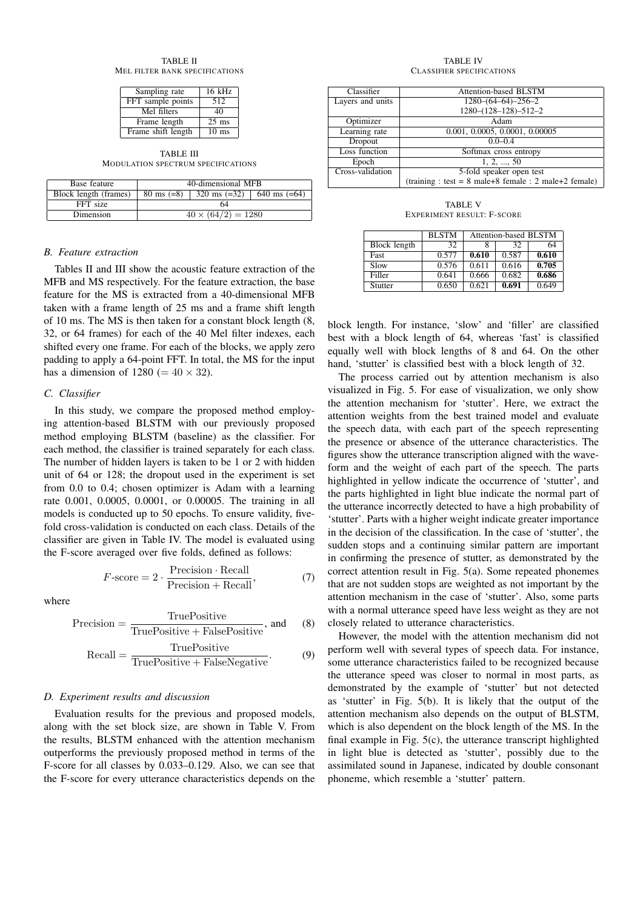TABLE II MEL FILTER BANK SPECIFICATIONS

| Sampling rate      | $16$ kHz        |
|--------------------|-----------------|
| FFT sample points  | 512             |
| Mel filters        | 40              |
| Frame length       | $25$ ms         |
| Frame shift length | $10 \text{ ms}$ |

TABLE III MODULATION SPECTRUM SPECIFICATIONS

| Base feature          | 40-dimensional MFB        |                                                |  |  |
|-----------------------|---------------------------|------------------------------------------------|--|--|
| Block length (frames) |                           | 80 ms $(=8)$   320 ms $(=32)$   640 ms $(=64)$ |  |  |
| FFT size              |                           | 64                                             |  |  |
| Dimension             | $40 \times (64/2) = 1280$ |                                                |  |  |

## *B. Feature extraction*

Tables II and III show the acoustic feature extraction of the MFB and MS respectively. For the feature extraction, the base feature for the MS is extracted from a 40-dimensional MFB taken with a frame length of 25 ms and a frame shift length of 10 ms. The MS is then taken for a constant block length (8, 32, or 64 frames) for each of the 40 Mel filter indexes, each shifted every one frame. For each of the blocks, we apply zero padding to apply a 64-point FFT. In total, the MS for the input has a dimension of 1280 (=  $40 \times 32$ ).

#### *C. Classifier*

In this study, we compare the proposed method employing attention-based BLSTM with our previously proposed method employing BLSTM (baseline) as the classifier. For each method, the classifier is trained separately for each class. The number of hidden layers is taken to be 1 or 2 with hidden unit of 64 or 128; the dropout used in the experiment is set from 0.0 to 0.4; chosen optimizer is Adam with a learning rate 0.001, 0.0005, 0.0001, or 0.00005. The training in all models is conducted up to 50 epochs. To ensure validity, fivefold cross-validation is conducted on each class. Details of the classifier are given in Table IV. The model is evaluated using the F-score averaged over five folds, defined as follows:

$$
F\text{-score} = 2 \cdot \frac{\text{Precision} \cdot \text{Recall}}{\text{Precision} + \text{Recall}},\tag{7}
$$

where

$$
Precision = \frac{TruePositive}{TruePositive + FalsePositive}, and \qquad (8)
$$

$$
Recall = \frac{TruePositive}{TruePositive + FalseNegative}.
$$
 (9)

### *D. Experiment results and discussion*

Evaluation results for the previous and proposed models, along with the set block size, are shown in Table V. From the results, BLSTM enhanced with the attention mechanism outperforms the previously proposed method in terms of the F-score for all classes by 0.033–0.129. Also, we can see that the F-score for every utterance characteristics depends on the

TABLE IV CLASSIFIER SPECIFICATIONS

| Classifier       | Attention-based BLSTM                                   |  |
|------------------|---------------------------------------------------------|--|
| Layers and units | $1280-(64-64)-256-2$                                    |  |
|                  | $1280-(128-128)-512-2$                                  |  |
| Optimizer        | Adam                                                    |  |
| Learning rate    | 0.001, 0.0005, 0.0001, 0.00005                          |  |
| Dropout          | $0.0 - 0.4$                                             |  |
| Loss function    | Softmax cross entropy                                   |  |
| Epoch            | 1, 2, , 50                                              |  |
| Cross-validation | 5-fold speaker open test                                |  |
|                  | $(training : test = 8 male+8 female : 2 male+2 female)$ |  |

TABLE V EXPERIMENT RESULT: F-SCORE

|              | <b>BLSTM</b> | Attention-based BLSTM |       |       |
|--------------|--------------|-----------------------|-------|-------|
| Block length | 32           |                       | 32    | 64    |
| Fast         | 0.577        | 0.610                 | 0.587 | 0.610 |
| Slow         | 0.576        | 0.611                 | 0.616 | 0.705 |
| Filler       | 0.641        | 0.666                 | 0.682 | 0.686 |
| Stutter      | 0.650        | 0.621                 | 0.691 | 0.649 |

block length. For instance, 'slow' and 'filler' are classified best with a block length of 64, whereas 'fast' is classified equally well with block lengths of 8 and 64. On the other hand, 'stutter' is classified best with a block length of 32.

The process carried out by attention mechanism is also visualized in Fig. 5. For ease of visualization, we only show the attention mechanism for 'stutter'. Here, we extract the attention weights from the best trained model and evaluate the speech data, with each part of the speech representing the presence or absence of the utterance characteristics. The figures show the utterance transcription aligned with the waveform and the weight of each part of the speech. The parts highlighted in yellow indicate the occurrence of 'stutter', and the parts highlighted in light blue indicate the normal part of the utterance incorrectly detected to have a high probability of 'stutter'. Parts with a higher weight indicate greater importance in the decision of the classification. In the case of 'stutter', the sudden stops and a continuing similar pattern are important in confirming the presence of stutter, as demonstrated by the correct attention result in Fig. 5(a). Some repeated phonemes that are not sudden stops are weighted as not important by the attention mechanism in the case of 'stutter'. Also, some parts with a normal utterance speed have less weight as they are not closely related to utterance characteristics. Proceeding of APSIPA Annual Summit and Conference 2019<br>
The main state and contents of the summit and Conference 2019<br>
The main state and contents of the summit and Conference 2019<br>
The main state and contents of the summ

However, the model with the attention mechanism did not perform well with several types of speech data. For instance, some utterance characteristics failed to be recognized because the utterance speed was closer to normal in most parts, as demonstrated by the example of 'stutter' but not detected as 'stutter' in Fig. 5(b). It is likely that the output of the attention mechanism also depends on the output of BLSTM, which is also dependent on the block length of the MS. In the final example in Fig. 5(c), the utterance transcript highlighted in light blue is detected as 'stutter', possibly due to the assimilated sound in Japanese, indicated by double consonant phoneme, which resemble a 'stutter' pattern.